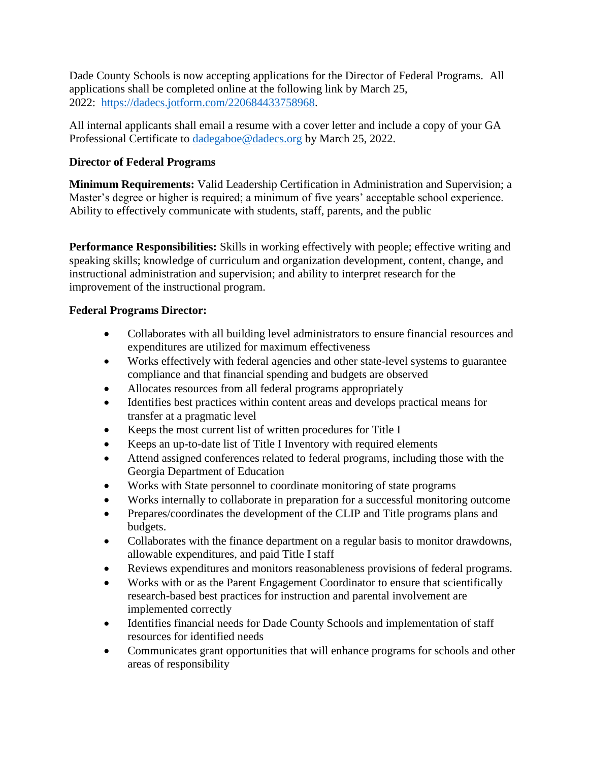Dade County Schools is now accepting applications for the Director of Federal Programs. All applications shall be completed online at the following link by March 25, 2022: [https://dadecs.jotform.com/220684433758968.](https://dadecs.jotform.com/220684433758968)

All internal applicants shall email a resume with a cover letter and include a copy of your GA Professional Certificate to [dadegaboe@dadecs.org](mailto:dadegaboe@dadecs.org) by March 25, 2022.

## **Director of Federal Programs**

**Minimum Requirements:** Valid Leadership Certification in Administration and Supervision; a Master's degree or higher is required; a minimum of five years' acceptable school experience. Ability to effectively communicate with students, staff, parents, and the public

**Performance Responsibilities:** Skills in working effectively with people; effective writing and speaking skills; knowledge of curriculum and organization development, content, change, and instructional administration and supervision; and ability to interpret research for the improvement of the instructional program.

## **Federal Programs Director:**

- Collaborates with all building level administrators to ensure financial resources and expenditures are utilized for maximum effectiveness
- Works effectively with federal agencies and other state-level systems to guarantee compliance and that financial spending and budgets are observed
- Allocates resources from all federal programs appropriately
- Identifies best practices within content areas and develops practical means for transfer at a pragmatic level
- Keeps the most current list of written procedures for Title I
- Keeps an up-to-date list of Title I Inventory with required elements
- Attend assigned conferences related to federal programs, including those with the Georgia Department of Education
- Works with State personnel to coordinate monitoring of state programs
- Works internally to collaborate in preparation for a successful monitoring outcome
- Prepares/coordinates the development of the CLIP and Title programs plans and budgets.
- Collaborates with the finance department on a regular basis to monitor drawdowns, allowable expenditures, and paid Title I staff
- Reviews expenditures and monitors reasonableness provisions of federal programs.
- Works with or as the Parent Engagement Coordinator to ensure that scientifically research-based best practices for instruction and parental involvement are implemented correctly
- Identifies financial needs for Dade County Schools and implementation of staff resources for identified needs
- Communicates grant opportunities that will enhance programs for schools and other areas of responsibility